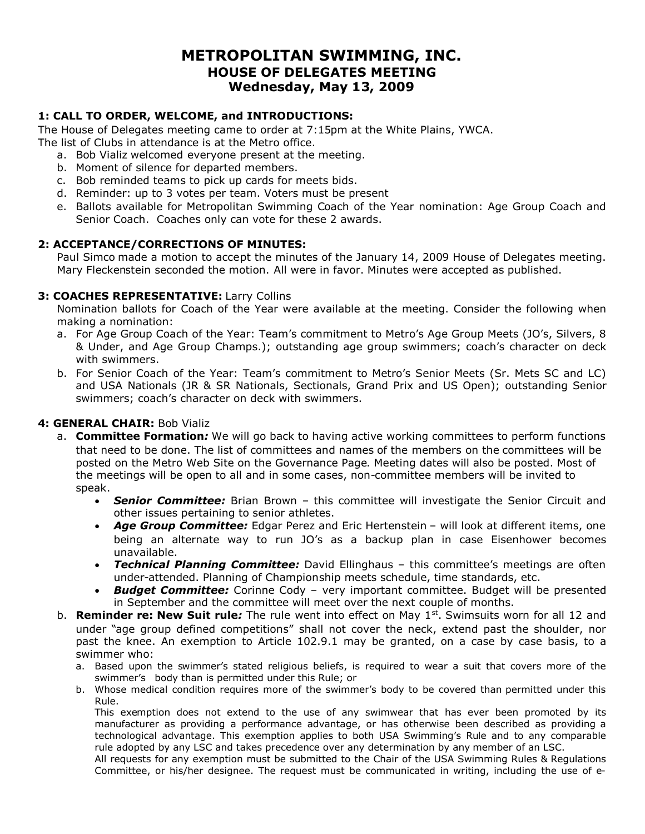# **METROPOLITAN SWIMMING, INC. HOUSE OF DELEGATES MEETING Wednesday, May 13, 2009**

# **1: CALL TO ORDER, WELCOME, and INTRODUCTIONS:**

The House of Delegates meeting came to order at 7:15pm at the White Plains, YWCA. The list of Clubs in attendance is at the Metro office.

- a. Bob Vializ welcomed everyone present at the meeting.
- b. Moment of silence for departed members.
- c. Bob reminded teams to pick up cards for meets bids.
- d. Reminder: up to 3 votes per team. Voters must be present
- e. Ballots available for Metropolitan Swimming Coach of the Year nomination: Age Group Coach and Senior Coach. Coaches only can vote for these 2 awards.

## **2: ACCEPTANCE/CORRECTIONS OF MINUTES:**

Paul Simco made a motion to accept the minutes of the January 14, 2009 House of Delegates meeting. Mary Fleckenstein seconded the motion. All were in favor. Minutes were accepted as published.

#### **3: COACHES REPRESENTATIVE:** Larry Collins

Nomination ballots for Coach of the Year were available at the meeting. Consider the following when making a nomination:

- a. For Age Group Coach of the Year: Team's commitment to Metro's Age Group Meets (JO's, Silvers, 8 & Under, and Age Group Champs.); outstanding age group swimmers; coach's character on deck with swimmers.
- b. For Senior Coach of the Year: Team's commitment to Metro's Senior Meets (Sr. Mets SC and LC) and USA Nationals (JR & SR Nationals, Sectionals, Grand Prix and US Open); outstanding Senior swimmers; coach's character on deck with swimmers.

## **4: GENERAL CHAIR:** Bob Vializ

- a. **Committee Formation***:* We will go back to having active working committees to perform functions that need to be done. The list of committees and names of the members on the committees will be posted on the Metro Web Site on the Governance Page. Meeting dates will also be posted. Most of the meetings will be open to all and in some cases, non-committee members will be invited to speak.
	- *Senior Committee:* Brian Brown this committee will investigate the Senior Circuit and other issues pertaining to senior athletes.
	- *Age Group Committee:* Edgar Perez and Eric Hertenstein will look at different items, one being an alternate way to run JO's as a backup plan in case Eisenhower becomes unavailable.
	- *Technical Planning Committee:* David Ellinghaus this committee's meetings are often under-attended. Planning of Championship meets schedule, time standards, etc.
	- *Budget Committee:* Corinne Cody very important committee. Budget will be presented in September and the committee will meet over the next couple of months.
- b. Reminder re: New Suit rule: The rule went into effect on May 1<sup>st</sup>. Swimsuits worn for all 12 and under "age group defined competitions" shall not cover the neck, extend past the shoulder, nor past the knee. An exemption to Article 102.9.1 may be granted, on a case by case basis, to a swimmer who:
	- a. Based upon the swimmer's stated religious beliefs, is required to wear a suit that covers more of the swimmer's body than is permitted under this Rule; or
	- b. Whose medical condition requires more of the swimmer's body to be covered than permitted under this Rule.

This exemption does not extend to the use of any swimwear that has ever been promoted by its manufacturer as providing a performance advantage, or has otherwise been described as providing a technological advantage. This exemption applies to both USA Swimming's Rule and to any comparable rule adopted by any LSC and takes precedence over any determination by any member of an LSC.

All requests for any exemption must be submitted to the Chair of the USA Swimming Rules & Regulations Committee, or his/her designee. The request must be communicated in writing, including the use of e-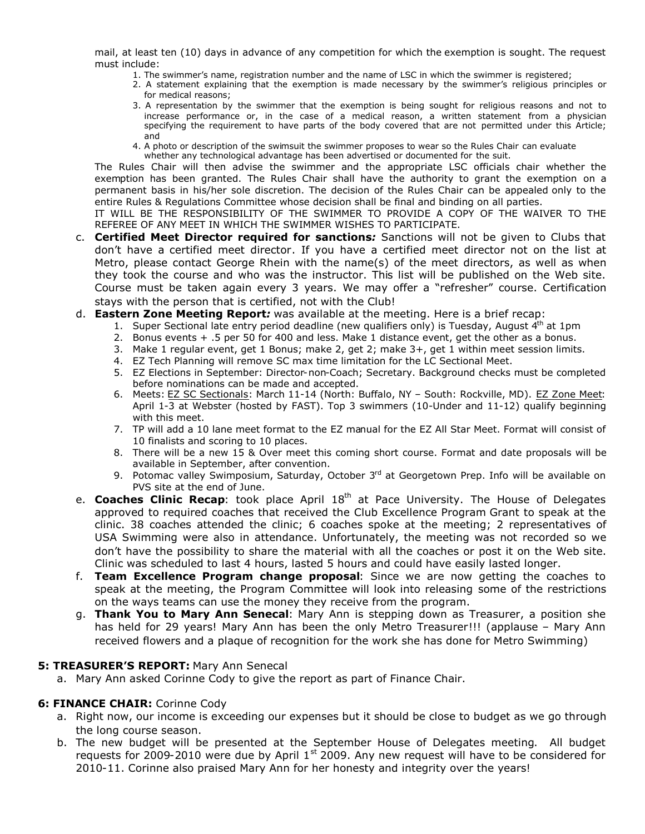mail, at least ten (10) days in advance of any competition for which the exemption is sought. The request must include:

- 1. The swimmer's name, registration number and the name of LSC in which the swimmer is registered;
- 2. A statement explaining that the exemption is made necessary by the swimmer's religious principles or for medical reasons;
- 3. A representation by the swimmer that the exemption is being sought for religious reasons and not to increase performance or, in the case of a medical reason, a written statement from a physician specifying the requirement to have parts of the body covered that are not permitted under this Article; and
- 4. A photo or description of the swimsuit the swimmer proposes to wear so the Rules Chair can evaluate whether any technological advantage has been advertised or documented for the suit.

The Rules Chair will then advise the swimmer and the appropriate LSC officials chair whether the exemption has been granted. The Rules Chair shall have the authority to grant the exemption on a permanent basis in his/her sole discretion. The decision of the Rules Chair can be appealed only to the entire Rules & Regulations Committee whose decision shall be final and binding on all parties.

IT WILL BE THE RESPONSIBILITY OF THE SWIMMER TO PROVIDE A COPY OF THE WAIVER TO THE REFEREE OF ANY MEET IN WHICH THE SWIMMER WISHES TO PARTICIPATE.

- c. **Certified Meet Director required for sanctions***:* Sanctions will not be given to Clubs that don't have a certified meet director. If you have a certified meet director not on the list at Metro, please contact George Rhein with the name(s) of the meet directors, as well as when they took the course and who was the instructor. This list will be published on the Web site. Course must be taken again every 3 years. We may offer a "refresher" course. Certification stays with the person that is certified, not with the Club!
- d. **Eastern Zone Meeting Report***:* was available at the meeting. Here is a brief recap:
	- 1. Super Sectional late entry period deadline (new qualifiers only) is Tuesday, August  $4<sup>th</sup>$  at 1pm
	- 2. Bonus events + .5 per 50 for 400 and less. Make 1 distance event, get the other as a bonus.
	- 3. Make 1 regular event, get 1 Bonus; make 2, get 2; make 3+, get 1 within meet session limits.
	- 4. EZ Tech Planning will remove SC max time limitation for the LC Sectional Meet.
	- 5. EZ Elections in September: Director-non-Coach; Secretary. Background checks must be completed before nominations can be made and accepted.
	- 6. Meets: EZ SC Sectionals: March 11-14 (North: Buffalo, NY South: Rockville, MD). EZ Zone Meet: April 1-3 at Webster (hosted by FAST). Top 3 swimmers (10-Under and 11-12) qualify beginning with this meet.
	- 7. TP will add a 10 lane meet format to the EZ manual for the EZ All Star Meet. Format will consist of 10 finalists and scoring to 10 places.
	- 8. There will be a new 15 & Over meet this coming short course. Format and date proposals will be available in September, after convention.
	- 9. Potomac valley Swimposium, Saturday, October 3rd at Georgetown Prep. Info will be available on PVS site at the end of June.
- e. **Coaches Clinic Recap**: took place April 18<sup>th</sup> at Pace University. The House of Delegates approved to required coaches that received the Club Excellence Program Grant to speak at the clinic. 38 coaches attended the clinic; 6 coaches spoke at the meeting; 2 representatives of USA Swimming were also in attendance. Unfortunately, the meeting was not recorded so we don't have the possibility to share the material with all the coaches or post it on the Web site. Clinic was scheduled to last 4 hours, lasted 5 hours and could have easily lasted longer.
- f. **Team Excellence Program change proposal**: Since we are now getting the coaches to speak at the meeting, the Program Committee will look into releasing some of the restrictions on the ways teams can use the money they receive from the program.
- g. **Thank You to Mary Ann Senecal**: Mary Ann is stepping down as Treasurer, a position she has held for 29 years! Mary Ann has been the only Metro Treasurer!!! (applause – Mary Ann received flowers and a plaque of recognition for the work she has done for Metro Swimming)

#### **5: TREASURER'S REPORT:** Mary Ann Senecal

a. Mary Ann asked Corinne Cody to give the report as part of Finance Chair.

#### **6: FINANCE CHAIR:** Corinne Cody

- a. Right now, our income is exceeding our expenses but it should be close to budget as we go through the long course season.
- b. The new budget will be presented at the September House of Delegates meeting. All budget requests for 2009-2010 were due by April  $1<sup>st</sup>$  2009. Any new request will have to be considered for 2010-11. Corinne also praised Mary Ann for her honesty and integrity over the years!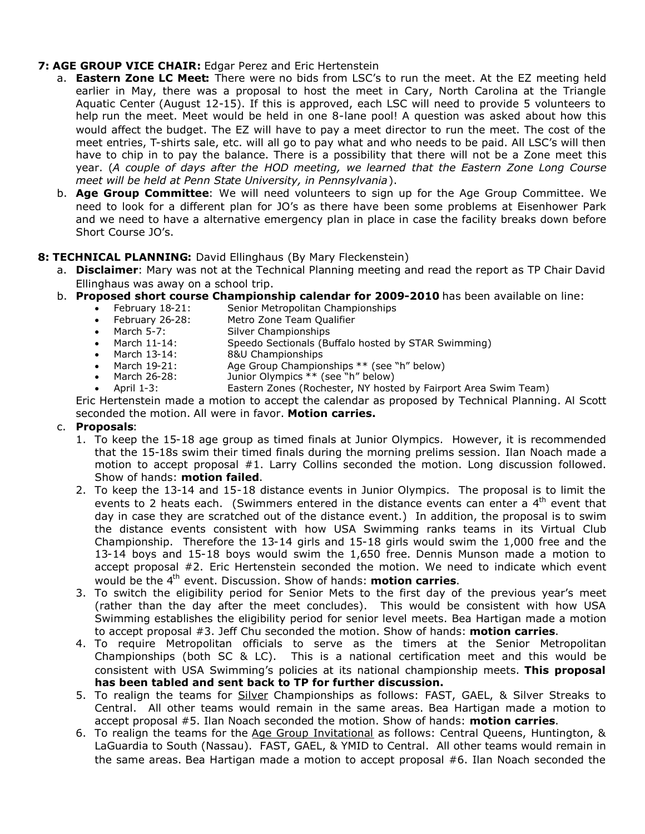# **7: AGE GROUP VICE CHAIR:** Edgar Perez and Eric Hertenstein

- a. **Eastern Zone LC Meet:** There were no bids from LSC's to run the meet. At the EZ meeting held earlier in May, there was a proposal to host the meet in Cary, North Carolina at the Triangle Aquatic Center (August 12-15). If this is approved, each LSC will need to provide 5 volunteers to help run the meet. Meet would be held in one 8-lane pool! A question was asked about how this would affect the budget. The EZ will have to pay a meet director to run the meet. The cost of the meet entries, T-shirts sale, etc. will all go to pay what and who needs to be paid. All LSC's will then have to chip in to pay the balance. There is a possibility that there will not be a Zone meet this year. (*A couple of days after the HOD meeting, we learned that the Eastern Zone Long Course meet will be held at Penn State University, in Pennsylvania*).
- b. **Age Group Committee**: We will need volunteers to sign up for the Age Group Committee. We need to look for a different plan for JO's as there have been some problems at Eisenhower Park and we need to have a alternative emergency plan in place in case the facility breaks down before Short Course JO's.

## **8: TECHNICAL PLANNING:** David Ellinghaus (By Mary Fleckenstein)

- a. **Disclaimer**: Mary was not at the Technical Planning meeting and read the report as TP Chair David Ellinghaus was away on a school trip.
- b. **Proposed short course Championship calendar for 2009-2010** has been available on line:
	- February 18-21: Senior Metropolitan Championships
	- February 26-28: Metro Zone Team Qualifier
	- March 5-7: Silver Championships<br>• March 11-14: Speedo Sectionals (Bu
	- March 11-14: Speedo Sectionals (Buffalo hosted by STAR Swimming)
	- March 13-14: 8&U Championships
	- March 19-21: Age Group Championships \*\* (see "h" below)<br>March 26-28: Junior Olympics \*\* (see "h" below)
	- March 26-28: Junior Olympics \*\* (see "h" below)
	- April 1-3: Eastern Zones (Rochester, NY hosted by Fairport Area Swim Team)

Eric Hertenstein made a motion to accept the calendar as proposed by Technical Planning. Al Scott seconded the motion. All were in favor. **Motion carries.**

#### c. **Proposals**:

- 1. To keep the 15-18 age group as timed finals at Junior Olympics. However, it is recommended that the 15-18s swim their timed finals during the morning prelims session. Ilan Noach made a motion to accept proposal #1. Larry Collins seconded the motion. Long discussion followed. Show of hands: **motion failed**.
- 2. To keep the 13-14 and 15-18 distance events in Junior Olympics. The proposal is to limit the events to 2 heats each. (Swimmers entered in the distance events can enter a  $4<sup>th</sup>$  event that day in case they are scratched out of the distance event.) In addition, the proposal is to swim the distance events consistent with how USA Swimming ranks teams in its Virtual Club Championship. Therefore the 13-14 girls and 15-18 girls would swim the 1,000 free and the 13-14 boys and 15-18 boys would swim the 1,650 free. Dennis Munson made a motion to accept proposal #2. Eric Hertenstein seconded the motion. We need to indicate which event would be the 4th event. Discussion. Show of hands: **motion carries**.
- 3. To switch the eligibility period for Senior Mets to the first day of the previous year's meet (rather than the day after the meet concludes). This would be consistent with how USA Swimming establishes the eligibility period for senior level meets. Bea Hartigan made a motion to accept proposal #3. Jeff Chu seconded the motion. Show of hands: **motion carries**.
- 4. To require Metropolitan officials to serve as the timers at the Senior Metropolitan Championships (both SC & LC). This is a national certification meet and this would be consistent with USA Swimming's policies at its national championship meets. **This proposal has been tabled and sent back to TP for further discussion.**
- 5. To realign the teams for Silver Championships as follows: FAST, GAEL, & Silver Streaks to Central. All other teams would remain in the same areas. Bea Hartigan made a motion to accept proposal #5. Ilan Noach seconded the motion. Show of hands: **motion carries**.
- 6. To realign the teams for the Age Group Invitational as follows: Central Queens, Huntington, & LaGuardia to South (Nassau). FAST, GAEL, & YMID to Central. All other teams would remain in the same areas. Bea Hartigan made a motion to accept proposal #6. Ilan Noach seconded the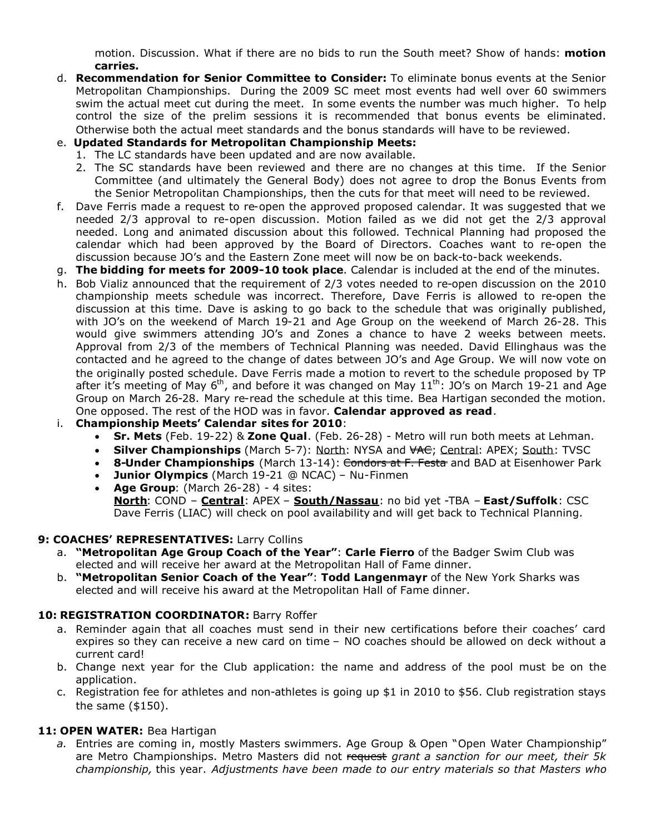motion. Discussion. What if there are no bids to run the South meet? Show of hands: **motion carries.**

- d. **Recommendation for Senior Committee to Consider:** To eliminate bonus events at the Senior Metropolitan Championships. During the 2009 SC meet most events had well over 60 swimmers swim the actual meet cut during the meet. In some events the number was much higher. To help control the size of the prelim sessions it is recommended that bonus events be eliminated. Otherwise both the actual meet standards and the bonus standards will have to be reviewed.
- e. **Updated Standards for Metropolitan Championship Meets:**
	- 1. The LC standards have been updated and are now available.
	- 2. The SC standards have been reviewed and there are no changes at this time. If the Senior Committee (and ultimately the General Body) does not agree to drop the Bonus Events from the Senior Metropolitan Championships, then the cuts for that meet will need to be reviewed.
- f. Dave Ferris made a request to re-open the approved proposed calendar. It was suggested that we needed 2/3 approval to re-open discussion. Motion failed as we did not get the 2/3 approval needed. Long and animated discussion about this followed. Technical Planning had proposed the calendar which had been approved by the Board of Directors. Coaches want to re-open the discussion because JO's and the Eastern Zone meet will now be on back-to-back weekends.
- g. **The bidding for meets for 2009-10 took place**. Calendar is included at the end of the minutes.
- h. Bob Vializ announced that the requirement of 2/3 votes needed to re-open discussion on the 2010 championship meets schedule was incorrect. Therefore, Dave Ferris is allowed to re-open the discussion at this time. Dave is asking to go back to the schedule that was originally published, with JO's on the weekend of March 19-21 and Age Group on the weekend of March 26-28. This would give swimmers attending JO's and Zones a chance to have 2 weeks between meets. Approval from 2/3 of the members of Technical Planning was needed. David Ellinghaus was the contacted and he agreed to the change of dates between JO's and Age Group. We will now vote on the originally posted schedule. Dave Ferris made a motion to revert to the schedule proposed by TP after it's meeting of May 6<sup>th</sup>, and before it was changed on May  $11<sup>th</sup>$ : JO's on March 19-21 and Age Group on March 26-28. Mary re-read the schedule at this time. Bea Hartigan seconded the motion. One opposed. The rest of the HOD was in favor. **Calendar approved as read**.
- i. **Championship Meets' Calendar sites for 2010**:
	- **Sr. Mets** (Feb. 19-22) & **Zone Qual**. (Feb. 26-28) Metro will run both meets at Lehman.
	- **Silver Championships** (March 5-7): North: NYSA and  $\forall A \in \mathcal{F}$ ; Central: APEX; South: TVSC
	- **8-Under Championships** (March 13-14): <del>Condors at F. Festa</del> and BAD at Eisenhower Park
	- **Junior Olympics** (March 19-21 @ NCAC) Nu-Finmen
	- **Age Group**: (March 26-28) 4 sites:
	- **North**: COND **Central**: APEX **South/Nassau**: no bid yet -TBA **East/Suffolk**: CSC Dave Ferris (LIAC) will check on pool availability and will get back to Technical Planning.

#### **9: COACHES' REPRESENTATIVES:** Larry Collins

- a. **"Metropolitan Age Group Coach of the Year"**: **Carle Fierro** of the Badger Swim Club was elected and will receive her award at the Metropolitan Hall of Fame dinner.
- b. **"Metropolitan Senior Coach of the Year"**: **Todd Langenmayr** of the New York Sharks was elected and will receive his award at the Metropolitan Hall of Fame dinner.

# **10: REGISTRATION COORDINATOR:** Barry Roffer

- a. Reminder again that all coaches must send in their new certifications before their coaches' card expires so they can receive a new card on time – NO coaches should be allowed on deck without a current card!
- b. Change next year for the Club application: the name and address of the pool must be on the application.
- c. Registration fee for athletes and non-athletes is going up \$1 in 2010 to \$56. Club registration stays the same (\$150).

# **11: OPEN WATER:** Bea Hartigan

*a.* Entries are coming in, mostly Masters swimmers. Age Group & Open "Open Water Championship" are Metro Championships. Metro Masters did not request *grant a sanction for our meet, their 5k championship,* this year. *Adjustments have been made to our entry materials so that Masters who*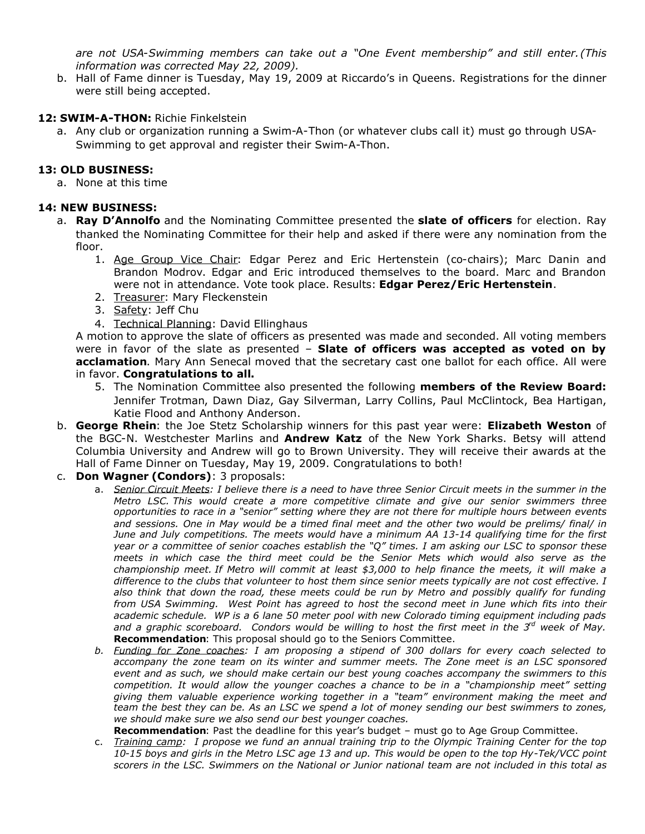*are not USA-Swimming members can take out a "One Event membership" and still enter.(This information was corrected May 22, 2009).*

b. Hall of Fame dinner is Tuesday, May 19, 2009 at Riccardo's in Queens. Registrations for the dinner were still being accepted.

## **12: SWIM-A-THON:** Richie Finkelstein

a. Any club or organization running a Swim-A-Thon (or whatever clubs call it) must go through USA-Swimming to get approval and register their Swim-A-Thon.

## **13: OLD BUSINESS:**

a. None at this time

## **14: NEW BUSINESS:**

- a. **Ray D'Annolfo** and the Nominating Committee presented the **slate of officers** for election. Ray thanked the Nominating Committee for their help and asked if there were any nomination from the floor.
	- 1. Age Group Vice Chair: Edgar Perez and Eric Hertenstein (co-chairs); Marc Danin and Brandon Modrov. Edgar and Eric introduced themselves to the board. Marc and Brandon were not in attendance. Vote took place. Results: **Edgar Perez/Eric Hertenstein**.
	- 2. Treasurer: Mary Fleckenstein
	- 3. Safety: Jeff Chu
	- 4. Technical Planning: David Ellinghaus

A motion to approve the slate of officers as presented was made and seconded. All voting members were in favor of the slate as presented – **Slate of officers was accepted as voted on by acclamation**. Mary Ann Senecal moved that the secretary cast one ballot for each office. All were in favor. **Congratulations to all.**

- 5. The Nomination Committee also presented the following **members of the Review Board:** Jennifer Trotman, Dawn Diaz, Gay Silverman, Larry Collins, Paul McClintock, Bea Hartigan, Katie Flood and Anthony Anderson.
- b. **George Rhein**: the Joe Stetz Scholarship winners for this past year were: **Elizabeth Weston** of the BGC-N. Westchester Marlins and **Andrew Katz** of the New York Sharks. Betsy will attend Columbia University and Andrew will go to Brown University. They will receive their awards at the Hall of Fame Dinner on Tuesday, May 19, 2009. Congratulations to both!
- c. **Don Wagner (Condors)**: 3 proposals:
	- a. *Senior Circuit Meets: I believe there is a need to have three Senior Circuit meets in the summer in the Metro LSC. This would create a more competitive climate and give our senior swimmers three opportunities to race in a "senior" setting where they are not there for multiple hours between events and sessions. One in May would be a timed final meet and the other two would be prelims/ final/ in June and July competitions. The meets would have a minimum AA 13-14 qualifying time for the first year or a committee of senior coaches establish the "Q" times. I am asking our LSC to sponsor these meets in which case the third meet could be the Senior Mets which would also serve as the championship meet. If Metro will commit at least \$3,000 to help finance the meets, it will make a difference to the clubs that volunteer to host them since senior meets typically are not cost effective. I also think that down the road, these meets could be run by Metro and possibly qualify for funding from USA Swimming. West Point has agreed to host the second meet in June which fits into their academic schedule. WP is a 6 lane 50 meter pool with new Colorado timing equipment including pads and a graphic scoreboard. Condors would be willing to host the first meet in the 3rd week of May.* **Recommendation**: This proposal should go to the Seniors Committee.
	- *b. Funding for Zone coaches: I am proposing a stipend of 300 dollars for every coach selected to accompany the zone team on its winter and summer meets. The Zone meet is an LSC sponsored event and as such, we should make certain our best young coaches accompany the swimmers to this competition. It would allow the younger coaches a chance to be in a "championship meet" setting giving them valuable experience working together in a "team" environment making the meet and team the best they can be. As an LSC we spend a lot of money sending our best swimmers to zones, we should make sure we also send our best younger coaches.*

**Recommendation**: Past the deadline for this year's budget – must go to Age Group Committee.

c. *Training camp: I propose we fund an annual training trip to the Olympic Training Center for the top 10-15 boys and girls in the Metro LSC age 13 and up. This would be open to the top Hy-Tek/VCC point scorers in the LSC. Swimmers on the National or Junior national team are not included in this total as*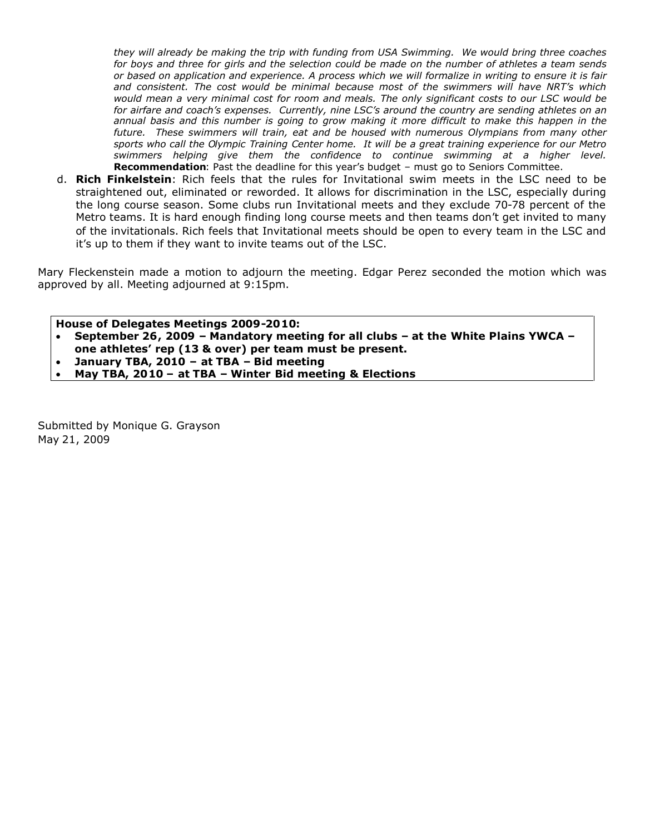*they will already be making the trip with funding from USA Swimming. We would bring three coaches for boys and three for girls and the selection could be made on the number of athletes a team sends or based on application and experience. A process which we will formalize in writing to ensure it is fair and consistent. The cost would be minimal because most of the swimmers will have NRT's which would mean a very minimal cost for room and meals. The only significant costs to our LSC would be for airfare and coach's expenses. Currently, nine LSC's around the country are sending athletes on an annual basis and this number is going to grow making it more difficult to make this happen in the future. These swimmers will train, eat and be housed with numerous Olympians from many other sports who call the Olympic Training Center home. It will be a great training experience for our Metro swimmers helping give them the confidence to continue swimming at a higher level.* **Recommendation**: Past the deadline for this year's budget – must go to Seniors Committee.

d. **Rich Finkelstein**: Rich feels that the rules for Invitational swim meets in the LSC need to be straightened out, eliminated or reworded. It allows for discrimination in the LSC, especially during the long course season. Some clubs run Invitational meets and they exclude 70-78 percent of the Metro teams. It is hard enough finding long course meets and then teams don't get invited to many of the invitationals. Rich feels that Invitational meets should be open to every team in the LSC and it's up to them if they want to invite teams out of the LSC.

Mary Fleckenstein made a motion to adjourn the meeting. Edgar Perez seconded the motion which was approved by all. Meeting adjourned at 9:15pm.

**House of Delegates Meetings 2009-2010:**

 **September 26, 2009 – Mandatory meeting for all clubs – at the White Plains YWCA – one athletes' rep (13 & over) per team must be present.**

**January TBA, 2010 – at TBA – Bid meeting**

**May TBA, 2010 – at TBA – Winter Bid meeting & Elections**

Submitted by Monique G. Grayson May 21, 2009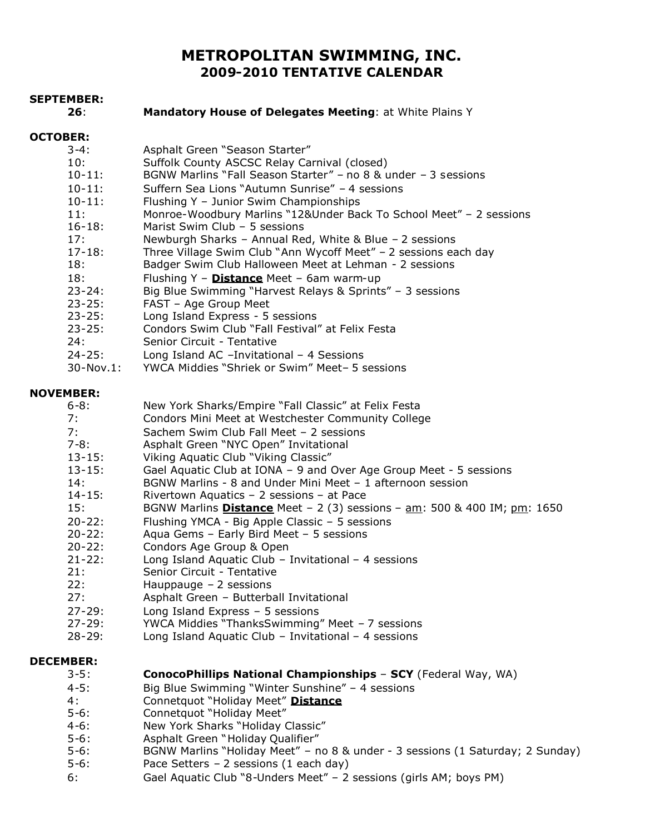# **METROPOLITAN SWIMMING, INC. 2009-2010 TENTATIVE CALENDAR**

| <b>SEPTEMBER:</b><br>26: | Mandatory House of Delegates Meeting: at White Plains Y                         |
|--------------------------|---------------------------------------------------------------------------------|
|                          |                                                                                 |
| <b>OCTOBER:</b>          |                                                                                 |
| $3 - 4:$                 | Asphalt Green "Season Starter"                                                  |
| 10:                      | Suffolk County ASCSC Relay Carnival (closed)                                    |
| $10 - 11$ :              | BGNW Marlins "Fall Season Starter" - no 8 & under - 3 sessions                  |
| $10 - 11$ :              | Suffern Sea Lions "Autumn Sunrise" - 4 sessions                                 |
| $10 - 11$ :              | Flushing Y - Junior Swim Championships                                          |
| 11:                      | Monroe-Woodbury Marlins "12&Under Back To School Meet" - 2 sessions             |
| $16 - 18:$               | Marist Swim Club - 5 sessions                                                   |
| 17:                      | Newburgh Sharks - Annual Red, White & Blue - 2 sessions                         |
| $17 - 18:$               | Three Village Swim Club "Ann Wycoff Meet" - 2 sessions each day                 |
| 18:                      | Badger Swim Club Halloween Meet at Lehman - 2 sessions                          |
| 18:                      | Flushing Y - Distance Meet - 6am warm-up                                        |
| $23 - 24:$               | Big Blue Swimming "Harvest Relays & Sprints" - 3 sessions                       |
| $23 - 25:$               | FAST - Age Group Meet                                                           |
| $23 - 25:$               | Long Island Express - 5 sessions                                                |
| $23 - 25:$               | Condors Swim Club "Fall Festival" at Felix Festa                                |
| 24:                      | Senior Circuit - Tentative                                                      |
| $24 - 25:$               | Long Island AC -Invitational - 4 Sessions                                       |
| $30 - Nov.1$ :           | YWCA Middies "Shriek or Swim" Meet- 5 sessions                                  |
| <b>NOVEMBER:</b>         |                                                                                 |
| $6 - 8:$                 | New York Sharks/Empire "Fall Classic" at Felix Festa                            |
| 7:                       | Condors Mini Meet at Westchester Community College                              |
| 7:                       | Sachem Swim Club Fall Meet - 2 sessions                                         |
| $7 - 8:$                 | Asphalt Green "NYC Open" Invitational                                           |
| $13 - 15:$               | Viking Aquatic Club "Viking Classic"                                            |
| $13 - 15:$               | Gael Aquatic Club at IONA - 9 and Over Age Group Meet - 5 sessions              |
| 14:                      | BGNW Marlins - 8 and Under Mini Meet - 1 afternoon session                      |
| $14 - 15:$               | Rivertown Aquatics - 2 sessions - at Pace                                       |
| 15:                      | BGNW Marlins <b>Distance</b> Meet - 2 (3) sessions - am: 500 & 400 IM; pm: 1650 |
| $20 - 22:$               | Flushing YMCA - Big Apple Classic - 5 sessions                                  |
| $20 - 22:$               | Aqua Gems - Early Bird Meet - 5 sessions                                        |
| $20 - 22:$               | Condors Age Group & Open                                                        |
| $21 - 22:$               | Long Island Aquatic Club - Invitational - 4 sessions                            |
| 21:                      | Senior Circuit - Tentative                                                      |
| 22:                      | Hauppauge $-2$ sessions                                                         |
| 27:                      | Asphalt Green - Butterball Invitational                                         |
| $27 - 29:$               | Long Island Express $-5$ sessions                                               |
| $27 - 29:$               | YWCA Middies "ThanksSwimming" Meet - 7 sessions                                 |
| $28 - 29:$               | Long Island Aquatic Club - Invitational - 4 sessions                            |
| <b>DECEMBER:</b>         |                                                                                 |
| $3 - 5:$                 | ConocoPhillips National Championships - SCY (Federal Way, WA)                   |
| $4 - 5:$                 | Big Blue Swimming "Winter Sunshine" - 4 sessions                                |
| 4:                       | Connetquot "Holiday Meet" Distance                                              |
| $5 - 6:$                 | Connetquot "Holiday Meet"                                                       |
| $4 - 6:$                 | New York Sharks "Holiday Classic"                                               |
| $5 - 6:$                 | Asphalt Green "Holiday Qualifier"                                               |
| $5 - 6:$                 | BGNW Marlins "Holiday Meet" - no 8 & under - 3 sessions (1 Saturday; 2 Sunday)  |
| $5 - 6:$                 | Pace Setters $-2$ sessions (1 each day)                                         |
| 6:                       | Gael Aquatic Club "8-Unders Meet" - 2 sessions (girls AM; boys PM)              |